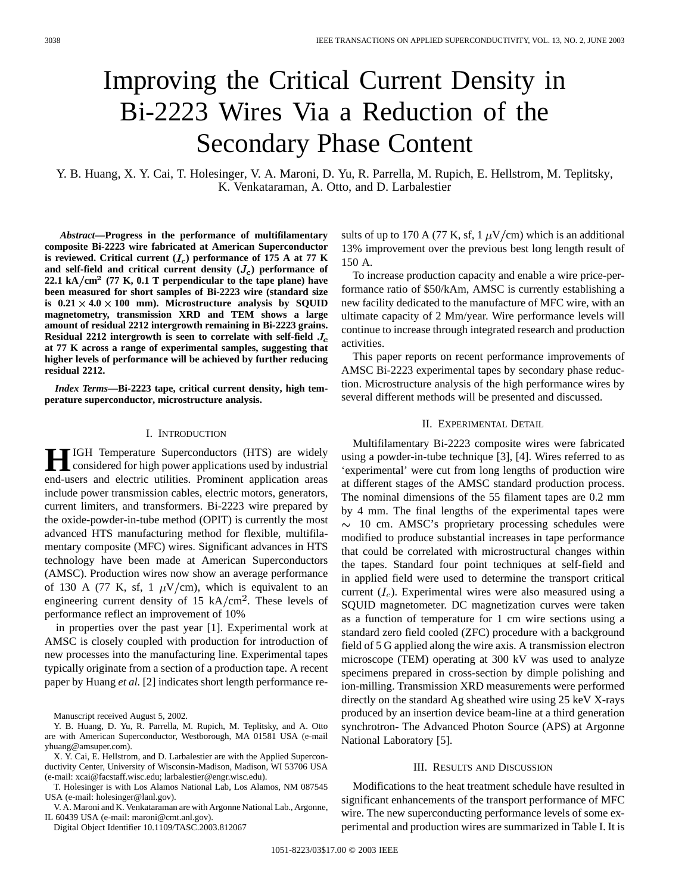# Improving the Critical Current Density in Bi-2223 Wires Via a Reduction of the Secondary Phase Content

Y. B. Huang, X. Y. Cai, T. Holesinger, V. A. Maroni, D. Yu, R. Parrella, M. Rupich, E. Hellstrom, M. Teplitsky, K. Venkataraman, A. Otto, and D. Larbalestier

*Abstract—***Progress in the performance of multifilamentary composite Bi-2223 wire fabricated at American Superconductor** is reviewed. Critical current  $(I_c)$  performance of 175 A at 77 K and self-field and critical current density  $(J_c)$  performance of **22.1 kA cm**<sup>2</sup> **(77 K, 0.1 T perpendicular to the tape plane) have been measured for short samples of Bi-2223 wire (standard size** is  $0.21 \times 4.0 \times 100$  mm). Microstructure analysis by SQUID **magnetometry, transmission XRD and TEM shows a large amount of residual 2212 intergrowth remaining in Bi-2223 grains. Residual 2212 intergrowth is seen to correlate with self-field at 77 K across a range of experimental samples, suggesting that higher levels of performance will be achieved by further reducing residual 2212.**

*Index Terms—***Bi-2223 tape, critical current density, high temperature superconductor, microstructure analysis.**

#### I. INTRODUCTION

**HIGH** Temperature Superconductors (HTS) are widely considered for high power applications used by industrial end-users and electric utilities. Prominent application areas include power transmission cables, electric motors, generators, current limiters, and transformers. Bi-2223 wire prepared by the oxide-powder-in-tube method (OPIT) is currently the most advanced HTS manufacturing method for flexible, multifilamentary composite (MFC) wires. Significant advances in HTS technology have been made at American Superconductors (AMSC). Production wires now show an average performance of 130 A (77 K, sf, 1  $\mu$ V/cm), which is equivalent to an engineering current density of 15 kA/cm<sup>2</sup>. These levels of performance reflect an improvement of 10%

in properties over the past year [1]. Experimental work at AMSC is closely coupled with production for introduction of new processes into the manufacturing line. Experimental tapes typically originate from a section of a production tape. A recent paper by Huang *et al.* [2] indicates short length performance re-

- Y. B. Huang, D. Yu, R. Parrella, M. Rupich, M. Teplitsky, and A. Otto are with American Superconductor, Westborough, MA 01581 USA (e-mail yhuang@amsuper.com).
- X. Y. Cai, E. Hellstrom, and D. Larbalestier are with the Applied Superconductivity Center, University of Wisconsin-Madison, Madison, WI 53706 USA (e-mail: xcai@facstaff.wisc.edu; larbalestier@engr.wisc.edu).

T. Holesinger is with Los Alamos National Lab, Los Alamos, NM 087545 USA (e-mail: holesinger@lanl.gov).

V. A. Maroni and K. Venkataraman are with Argonne National Lab., Argonne, IL 60439 USA (e-mail: maroni@cmt.anl.gov).

Digital Object Identifier 10.1109/TASC.2003.812067

sults of up to 170 A (77 K, sf, 1  $\mu$ V/cm) which is an additional 13% improvement over the previous best long length result of 150 A.

To increase production capacity and enable a wire price-performance ratio of \$50/kAm, AMSC is currently establishing a new facility dedicated to the manufacture of MFC wire, with an ultimate capacity of 2 Mm/year. Wire performance levels will continue to increase through integrated research and production activities.

This paper reports on recent performance improvements of AMSC Bi-2223 experimental tapes by secondary phase reduction. Microstructure analysis of the high performance wires by several different methods will be presented and discussed.

## II. EXPERIMENTAL DETAIL

Multifilamentary Bi-2223 composite wires were fabricated using a powder-in-tube technique [3], [4]. Wires referred to as 'experimental' were cut from long lengths of production wire at different stages of the AMSC standard production process. The nominal dimensions of the 55 filament tapes are 0.2 mm by 4 mm. The final lengths of the experimental tapes were  $\sim$  10 cm. AMSC's proprietary processing schedules were modified to produce substantial increases in tape performance that could be correlated with microstructural changes within the tapes. Standard four point techniques at self-field and in applied field were used to determine the transport critical current  $(I_c)$ . Experimental wires were also measured using a SQUID magnetometer. DC magnetization curves were taken as a function of temperature for 1 cm wire sections using a standard zero field cooled (ZFC) procedure with a background field of 5 G applied along the wire axis. A transmission electron microscope (TEM) operating at 300 kV was used to analyze specimens prepared in cross-section by dimple polishing and ion-milling. Transmission XRD measurements were performed directly on the standard Ag sheathed wire using 25 keV X-rays produced by an insertion device beam-line at a third generation synchrotron- The Advanced Photon Source (APS) at Argonne National Laboratory [5].

#### III. RESULTS AND DISCUSSION

Modifications to the heat treatment schedule have resulted in significant enhancements of the transport performance of MFC wire. The new superconducting performance levels of some experimental and production wires are summarized in Table I. It is

Manuscript received August 5, 2002.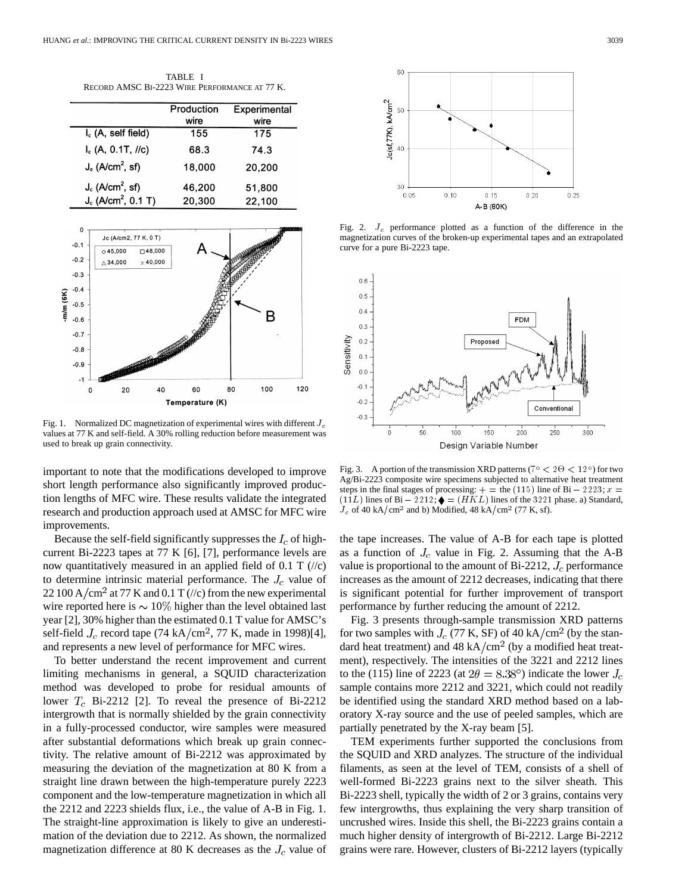| TABLE I                                       |
|-----------------------------------------------|
| RECORD AMSC BI-2223 WIRE PERFORMANCE AT 77 K. |

|                                   | Production<br>wire | Experimental<br>wire |
|-----------------------------------|--------------------|----------------------|
| I <sub>c</sub> (A, self field)    | 155                | 175                  |
| $I_c$ (A, 0.1T, $I/c$ )           | 68.3               | 74.3                 |
| $J_e$ (A/cm <sup>2</sup> , sf)    | 18,000             | 20,200               |
| $J_c$ (A/cm <sup>2</sup> , sf)    | 46,200             | 51,800               |
| $J_c$ (A/cm <sup>2</sup> , 0.1 T) | 20,300             | 22,100               |



Fig. 1. Normalized DC magnetization of experimental wires with different  $J_c$ values at 77 K and self-field. A 30% rolling reduction before measurement was used to break up grain connectivity.

important to note that the modifications developed to improve short length performance also significantly improved production lengths of MFC wire. These results validate the integrated research and production approach used at AMSC for MFC wire improvements.

Because the self-field significantly suppresses the  $I_c$  of highcurrent Bi-2223 tapes at 77 K [6], [7], performance levels are now quantitatively measured in an applied field of 0.1 T  $\left(\frac{1}{c}\right)$ to determine intrinsic material performance. The  $J_c$  value of 22 100 A/cm<sup>2</sup> at 77 K and 0.1 T (//c) from the new experimental wire reported here is  $\sim 10\%$  higher than the level obtained last year [2], 30% higher than the estimated 0.1 T value for AMSC's self-field  $J_c$  record tape (74 kA/cm<sup>2</sup>, 77 K, made in 1998)[4], and represents a new level of performance for MFC wires.

To better understand the recent improvement and current limiting mechanisms in general, a SQUID characterization method was developed to probe for residual amounts of lower  $T_c$  Bi-2212 [2]. To reveal the presence of Bi-2212 intergrowth that is normally shielded by the grain connectivity in a fully-processed conductor, wire samples were measured after substantial deformations which break up grain connectivity. The relative amount of Bi-2212 was approximated by measuring the deviation of the magnetization at 80 K from a straight line drawn between the high-temperature purely 2223 component and the low-temperature magnetization in which all the 2212 and 2223 shields flux, i.e., the value of A-B in Fig. 1. The straight-line approximation is likely to give an underestimation of the deviation due to 2212. As shown, the normalized magnetization difference at 80 K decreases as the  $J_c$  value of



Fig. 2.  $J_c$  performance plotted as a function of the difference in the magnetization curves of the broken-up experimental tapes and an extrapolated curve for a pure Bi-2223 tape.



Fig. 3. A portion of the transmission XRD patterns ( $7^{\circ} < 2\Theta < 12^{\circ}$ ) for two Ag/Bi-2223 composite wire specimens subjected to alternative heat treatment Fig. 3. A portion of the transmission XRD patterns ( $7^{\circ}$  <  $2\Theta$  <  $12^{\circ}$ ) for two Ag/Bi-2223 composite wire specimens subjected to alternative heat treatment steps in the final stages of processing: + = the (115) li Fig. 3. A portion of the transmission XRD patterns ( $7^{\circ} < 2\Theta < 12^{\circ}$ ) for two Ag/Bi-2223 composite wire specimens subjected to alternative heat treatment steps in the final stages of processing:  $+ =$  the (115) line of  $J_c$  of 40 kA/cm<sup>2</sup> and b) Modified, 48 kA/cm<sup>2</sup> (77 K, sf).

the tape increases. The value of A-B for each tape is plotted as a function of  $J_c$  value in Fig. 2. Assuming that the A-B value is proportional to the amount of Bi-2212,  $J_c$  performance increases as the amount of 2212 decreases, indicating that there is significant potential for further improvement of transport performance by further reducing the amount of 2212.

Fig. 3 presents through-sample transmission XRD patterns for two samples with  $J_c$  (77 K, SF) of 40 kA/cm<sup>2</sup> (by the standard heat treatment) and 48 kA/cm<sup>2</sup> (by a modified heat treatment), respectively. The intensities of the 3221 and 2212 lines to the (115) line of 2223 (at  $2\theta = 8.38^{\circ}$ ) indicate the lower  $J_c$ sample contains more 2212 and 3221, which could not readily be identified using the standard XRD method based on a laboratory X-ray source and the use of peeled samples, which are partially penetrated by the X-ray beam [5].

TEM experiments further supported the conclusions from the SQUID and XRD analyzes. The structure of the individual filaments, as seen at the level of TEM, consists of a shell of well-formed Bi-2223 grains next to the silver sheath. This Bi-2223 shell, typically the width of 2 or 3 grains, contains very few intergrowths, thus explaining the very sharp transition of uncrushed wires. Inside this shell, the Bi-2223 grains contain a much higher density of intergrowth of Bi-2212. Large Bi-2212 grains were rare. However, clusters of Bi-2212 layers (typically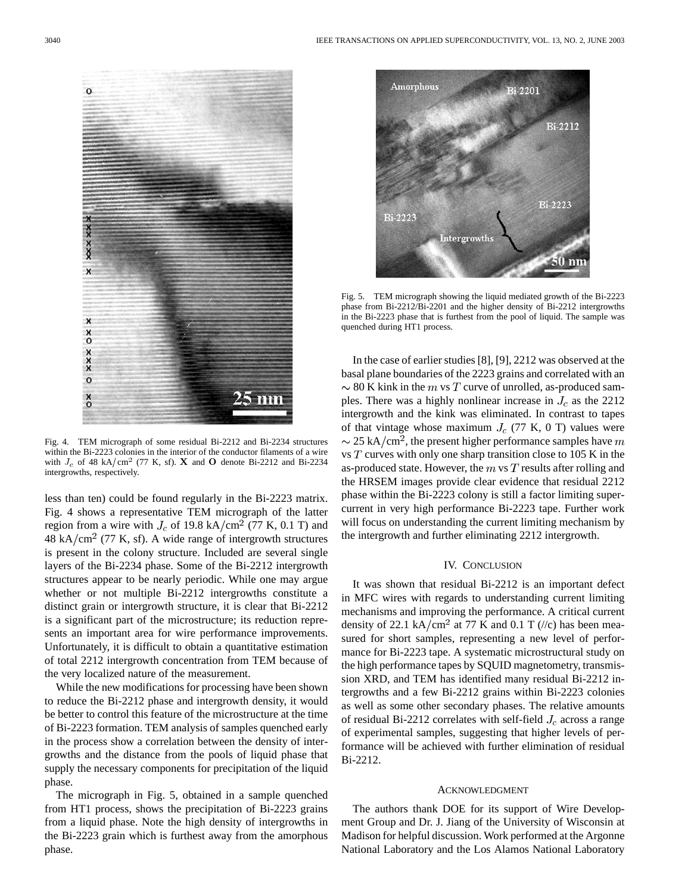

Fig. 4. TEM micrograph of some residual Bi-2212 and Bi-2234 structures within the Bi-2223 colonies in the interior of the conductor filaments of a wire with  $J_c$  of 48 kA/cm<sup>2</sup> (77 K, sf). X and O denote Bi-2212 and Bi-2234 intergrowths, respectively.

less than ten) could be found regularly in the Bi-2223 matrix. Fig. 4 shows a representative TEM micrograph of the latter region from a wire with  $J_c$  of 19.8 kA/cm<sup>2</sup> (77 K, 0.1 T) and  $48 \text{ kA/cm}^2$  (77 K, sf). A wide range of intergrowth structures is present in the colony structure. Included are several single layers of the Bi-2234 phase. Some of the Bi-2212 intergrowth structures appear to be nearly periodic. While one may argue whether or not multiple Bi-2212 intergrowths constitute a distinct grain or intergrowth structure, it is clear that Bi-2212 is a significant part of the microstructure; its reduction represents an important area for wire performance improvements. Unfortunately, it is difficult to obtain a quantitative estimation of total 2212 intergrowth concentration from TEM because of the very localized nature of the measurement.

While the new modifications for processing have been shown to reduce the Bi-2212 phase and intergrowth density, it would be better to control this feature of the microstructure at the time of Bi-2223 formation. TEM analysis of samples quenched early in the process show a correlation between the density of intergrowths and the distance from the pools of liquid phase that supply the necessary components for precipitation of the liquid phase.

The micrograph in Fig. 5, obtained in a sample quenched from HT1 process, shows the precipitation of Bi-2223 grains from a liquid phase. Note the high density of intergrowths in the Bi-2223 grain which is furthest away from the amorphous phase.



Fig. 5. TEM micrograph showing the liquid mediated growth of the Bi-2223 phase from Bi-2212/Bi-2201 and the higher density of Bi-2212 intergrowths in the Bi-2223 phase that is furthest from the pool of liquid. The sample was quenched during HT1 process.

In the case of earlier studies [8], [9], 2212 was observed at the basal plane boundaries of the 2223 grains and correlated with an  $\sim$  80 K kink in the m vs T curve of unrolled, as-produced samples. There was a highly nonlinear increase in  $J_c$  as the 2212 intergrowth and the kink was eliminated. In contrast to tapes of that vintage whose maximum  $J_c$  (77 K, 0 T) values were  $\sim$  25 kA/cm<sup>2</sup>, the present higher performance samples have m vs  $T$  curves with only one sharp transition close to 105 K in the as-produced state. However, the  $m \text{ vs } T$  results after rolling and the HRSEM images provide clear evidence that residual 2212 phase within the Bi-2223 colony is still a factor limiting supercurrent in very high performance Bi-2223 tape. Further work will focus on understanding the current limiting mechanism by the intergrowth and further eliminating 2212 intergrowth.

## IV. CONCLUSION

It was shown that residual Bi-2212 is an important defect in MFC wires with regards to understanding current limiting mechanisms and improving the performance. A critical current density of 22.1 kA/cm<sup>2</sup> at 77 K and 0.1 T (//c) has been measured for short samples, representing a new level of performance for Bi-2223 tape. A systematic microstructural study on the high performance tapes by SQUID magnetometry, transmission XRD, and TEM has identified many residual Bi-2212 intergrowths and a few Bi-2212 grains within Bi-2223 colonies as well as some other secondary phases. The relative amounts of residual Bi-2212 correlates with self-field  $J_c$  across a range of experimental samples, suggesting that higher levels of performance will be achieved with further elimination of residual Bi-2212.

#### ACKNOWLEDGMENT

The authors thank DOE for its support of Wire Development Group and Dr. J. Jiang of the University of Wisconsin at Madison for helpful discussion. Work performed at the Argonne National Laboratory and the Los Alamos National Laboratory